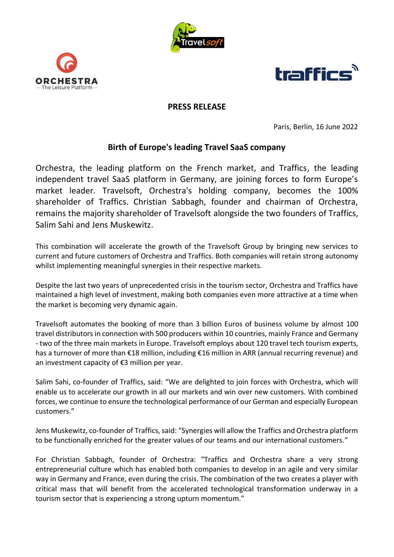





## **PRESS RELEASE**

Paris, Berlin, 16 June 2022

## **Birth of Europe's leading Travel SaaS company**

Orchestra, the leading platform on the French market, and Traffics, the leading independent travel SaaS platform in Germany, are joining forces to form Europe's market leader. Travelsoft, Orchestra's holding company, becomes the 100% shareholder of Traffics. Christian Sabbagh, founder and chairman of Orchestra, remains the majority shareholder of Travelsoft alongside the two founders of Traffics, Salim Sahi and Jens Muskewitz.

This combination will accelerate the growth of the Travelsoft Group by bringing new services to current and future customers of Orchestra and Traffics. Both companies will retain strong autonomy whilst implementing meaningful synergies in their respective markets.

Despite the last two years of unprecedented crisis in the tourism sector, Orchestra and Traffics have maintained a high level of investment, making both companies even more attractive at a time when the market is becoming very dynamic again.

Travelsoft automates the booking of more than 3 billion Euros of business volume by almost 100 travel distributors in connection with 500 producers within 10 countries, mainly France and Germany - two of the three main markets in Europe. Travelsoft employs about 120 travel tech tourism experts, has a turnover of more than €18 million, including €16 million in ARR (annual recurring revenue) and an investment capacity of €3 million per year.

Salim Sahi, co-founder of Traffics, said: "We are delighted to join forces with Orchestra, which will enable us to accelerate our growth in all our markets and win over new customers. With combined forces, we continue to ensure the technological performance of our German and especially European customers."

Jens Muskewitz, co-founder of Traffics, said: "Synergies will allow the Traffics and Orchestra platform to be functionally enriched for the greater values of our teams and our international customers."

For Christian Sabbagh, founder of Orchestra: "Traffics and Orchestra share a very strong entrepreneurial culture which has enabled both companies to develop in an agile and very similar way in Germany and France, even during the crisis. The combination of the two creates a player with critical mass that will benefit from the accelerated technological transformation underway in a tourism sector that is experiencing a strong upturn momentum."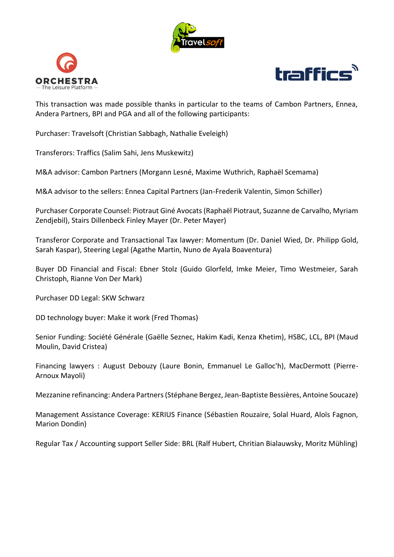





This transaction was made possible thanks in particular to the teams of Cambon Partners, Ennea, Andera Partners, BPI and PGA and all of the following participants:

Purchaser: Travelsoft (Christian Sabbagh, Nathalie Eveleigh)

Transferors: Traffics (Salim Sahi, Jens Muskewitz)

M&A advisor: Cambon Partners (Morgann Lesné, Maxime Wuthrich, Raphaël Scemama)

M&A advisor to the sellers: Ennea Capital Partners (Jan-Frederik Valentin, Simon Schiller)

Purchaser Corporate Counsel: Piotraut Giné Avocats (Raphaël Piotraut, Suzanne de Carvalho, Myriam Zendjebil), Stairs Dillenbeck Finley Mayer (Dr. Peter Mayer)

Transferor Corporate and Transactional Tax lawyer: Momentum (Dr. Daniel Wied, Dr. Philipp Gold, Sarah Kaspar), Steering Legal (Agathe Martin, Nuno de Ayala Boaventura)

Buyer DD Financial and Fiscal: Ebner Stolz (Guido Glorfeld, Imke Meier, Timo Westmeier, Sarah Christoph, Rianne Von Der Mark)

Purchaser DD Legal: SKW Schwarz

DD technology buyer: Make it work (Fred Thomas)

Senior Funding: Société Générale (Gaëlle Seznec, Hakim Kadi, Kenza Khetim), HSBC, LCL, BPI (Maud Moulin, David Cristea)

Financing lawyers : August Debouzy (Laure Bonin, Emmanuel Le Galloc'h), MacDermott (Pierre-Arnoux Mayoli)

Mezzanine refinancing: Andera Partners (Stéphane Bergez, Jean-Baptiste Bessières, Antoine Soucaze)

Management Assistance Coverage: KERIUS Finance (Sébastien Rouzaire, Solal Huard, Aloïs Fagnon, Marion Dondin)

Regular Tax / Accounting support Seller Side: BRL (Ralf Hubert, Chritian Bialauwsky, Moritz Mühling)